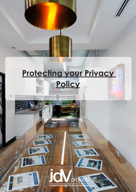

exceptional projects - enduring relationships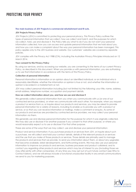# PROTECTING YOUR PRIVACY

### **The main business of JDV Projects is commercial refurbishment and fit outs.**

## **JDV Projects Privacy Policy**

JDV Projects (JDV) is committed to protecting your personal privacy. This Privacy Policy outlines the types of personal information that we collect, how we collect and hold it, and the purposes for which we collect, hold, use and disclose it. The Policy tells you what to do if you do not want your personal information collected, how you can access and update personal information that we hold about you, and how you can make a complaint about the way your personal information has been managed. This policy applies only to the JDV business and website. Our customers' websites are covered by separate policies.

JDV complies with the Privacy Act 1988 (Cth), including the Australian Privacy Principles introduced on 12 March 2014.

# **Your consent to this Privacy Policy**

By using our services, and by accessing our website, you are consenting to the terms of our current Privacy Policy, as described in this document. When you provide us with personal information, you are authorising us to use that information in accordance with the terms of this Privacy Policy.

# **Collection of personal information**

Personal information is information or an opinion about an identified individual, or an individual who is reasonably identifiable, whether the information or opinion is true or not, and whether the information or opinion is recorded in a material form or not.

JDV may collect personal information including (but not limited to) the following: your title, name, address, email address, telephone number, occupation and payment details.

# **How we collect information about you, and how we use and disclose it**

We generally collect personal information from you when you communicate with us (or one of our contracted service providers), or when we communicate with each other. For example, when you request a product or service from us, or inquire about our products and services, you may be asked to provide personal information for a variety of reasons, including to enable us to provide you with a product or service, or so that you can receive information or mailings, make a comment or enquiry. As some of our products and services are provided by contracted service providers, we may collect your personal information via them.

We generally use and disclose personal information for the purpose for which it was originally collected. We may also use or disclose it for another purpose if you consent to that other purpose, or where you would reasonably expect us to use or disclose it for that other purpose.

These are some of the ways that we may collect, use and disclose your personal information:

Product and service information: If you purchase products or services from JDV, or inquire about such a purchase, we will collect and hold your contact details, details of the relevant products or services and the use that you make of those products or services. Those details are primarily used to manage the products and services that we provide, to send you information about them, or about any upgrades that become available, latest developments, and forthcoming events. We may also use your personal information to improve our products and services, business processes and product collateral, and to contact you regarding other products and services which may be of interest to you (including those we may offer jointly with other companies). At any time you may opt out of such future contact (see Who to Contact below), and we will always include a functional unsubscribe facility in any email communications we send to you for marketing purposes.

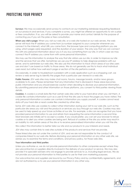# PROTECTING YOUR PRIVACY

**Surveys:** We may occasionally send surveys to contacts on our marketing database requesting feedback on our products and services. If you complete a survey, you might be offered an opportunity to win a prize or free consultation. If so, you will be asked to provide your name and contact details for the purpose of contacting you if you win the prize or free consultation.

**When you visit a page:** When you visit our web site, or a web site hosted on our web servers, the web server will track the IP address you come from (a number assigned to your computer whenever you connect to the Internet), what URL you came from, the browser type and computing platform you are using, which pages were requested, and the duration of your session. The only way that we can connect this with any personal information about you is if you buy something from our site, in which case we may connect the IP address you came from with some personal information.

We may use this information to analyse the way that site visitors use our site, in order to improve our site and the services that we offer. Sometimes we use your IP address to help diagnose problems with our server, and to administer our web sites. We also use this information to track which areas of our sites users use and don't use based on traffic to those areas. We do not generally use this to track what individual users read, but rather how well each page or section of the site performs overall.

Occasionally, in order to troubleshoot a problem with a web application such as a shopping cart, we review a web server log to identify the pages that a particular user viewed in a web site.

**Public Forums:** JDV web sites may make chat rooms, forums, message boards, and/or news groups available to its users. Please remember that any information that is disclosed in these areas becomes public information and you should exercise caution when deciding to disclose your personal information. By submitting personal and other information on those platforms, you consent to third parties viewing those details.

**Cookies:** A cookie is a small data file that certain web sites write to your hard drive when you visit them. A cookie file contains information such as a user ID that the site uses to track the pages you have visited. The only personal information a cookie can contain is information you supply yourself. A cookie cannot read data off your hard disk or read cookie files created by other sites.

Some JDV web sites use cookies to collect other information during your visit to our web site, such as the particular site areas you visit and the products or services you buy through our web site. Cookies may also be used to help speed up your future activities at our site. For example, a site can recognise that you have provided personal information to use and refrain from requesting the same information a second time. Most browsers are initially set to accept a cookie. If you would prefer, you can set your browser to refuse cookies or to alert you when cookies are being sent. Refusal of cookies at the site you enter may result in an inability to visit certain areas of the site or to receive personalised information when you visit the site.

We collect this information to better tailor our site and our products to your interests and needs.

JDV sites may contain links to web sites outside of the products and services that we provide.

These linked sites are not under the control of JDV, and we are not responsible for the conduct of companies linked to our web site. Before disclosing your personal information on any other web site, we advise you to examine the terms and conditions, and privacy policy, for those web sites.

#### **Your information and third parties**

Unless you authorise us, we do not provide personal information to other companies except where they are subcontractors or suppliers directly involved in the delivery of your product or service. We may also provide it to specialist advisers who we engage to provide services to us, including legal services. We do not provide your personal information to third parties to use for their own marketing purposes.

Our subcontractors and suppliers are bound by our Privacy Policy and by confidentiality agreements, and are not authorised by us to use your personal information in any other way.

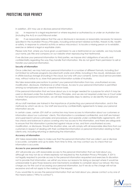# PROTECTING YOUR PRIVACY

In addition, JDV may use or disclose personal information:

(a) in response to a legal requirement or where required or authorised by or under an Australian law (including the Act) or court/tribunal order;

(b) if we reasonably believe that the use or disclosure is necessary or reasonably necessary for reasons specified in the Australian Privacy Principles, including enforcement related activities, threats to life, health or safety, in response to unlawful activity or serious misconduct, to locate a missing person or to establish, exercise or defend a legal or equitable claim.

Please note that, where you have given us permission to use a testimonial on our website, we may include your name, job title and company on our website when reproducing that testimonial.

If we disclose your personal information to third parties, we impose strict obligations of security and confidentiality regarding the way they handle that information. We do not grant them permission to sell or transfer your personal information.

# **Security of information**

Once collected, we may hold your personal information in a number of different formats, including (but not limited to) software programs (located both onsite and offsite, including in the cloud), databases and in offsite backup storage (including in the cloud, but only with your consent). Some cloud service providers may, without notice to us, store that personal information outside of Australia.

We take reasonable precautions to protect your personal information from loss, unauthorised access, modification, disclosure, interference or other misuse. Access to your personal information is permitted among our employees only on a need-to-know basis.

If the personal information that we have about you is no longer needed for a purpose for which it may be used or disclosed under the Australian Privacy Principles, and we are not required under law or Court order to retain that personal information, we will take reasonable steps to destroy or de-identify that personal information.

All our staff members are trained in the importance of protecting your personal information, and in the methods by which we do so. Our staff are bound by confidentiality agreements to keep your personal information secure.

In certain cases, certain JDV staff or contractors may have access to information about our customers or information about our customers' clients. This information is considered confidential, and staff are trained and supervised in privacy principles and procedures, and operate under confidentiality agreements. JDV has checks and balances in place covering who has access to this information, and there are safeguards to ensure that this information is protected against misuse or loss, and from unauthorised access, modification, or disclosure. Should the situation arise, we will comply with all reasonable directions from our customers in respect of dealing with their confidential information or personal Information relating to their clients only, including returning or destroying the information.

### **Accuracy of information**

JDV takes reasonable steps to make sure that the personal information that we collect, use or disclose is accurate, complete and up-to-date. From time to time, we may contact you to check that our information is accurate.

## **Access to your personal information**

JDV will provide you with reasonable access to the personal information that we hold about you, although we may not do so where expressly not required by the Australian Privacy Principles. If JDV is not legally required to provide access to the personal information requested and exercises its discretion not to provide that information, we will let you know our reasons for doing so (except where it would be unreasonable to give those reasons) and mechanisms available to complain about our refusal. We may charge you for the cost of accessing your personal information, but if we do so the charge will not be excessive and will not apply to the making of the request.

If you would like to access the personal information that we hold about you, please contact us by one of the means below ("Who to contact").